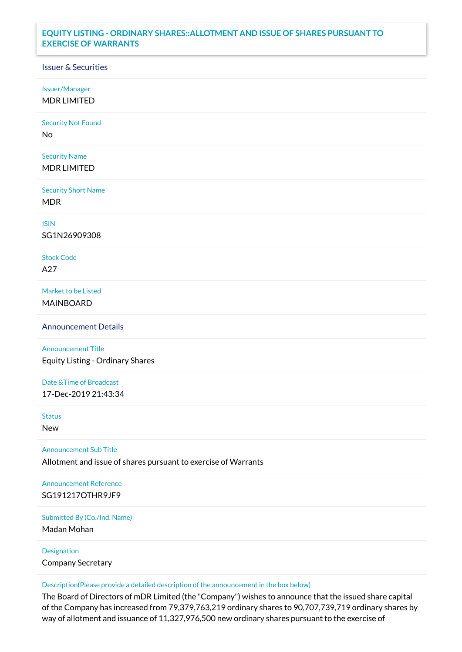## **EQUITY LISTING - ORDINARY SHARES::ALLOTMENT AND ISSUE OF SHARES PURSUANT TO EXERCISE OF WARRANTS**

## Issuer & Securities

Issuer/Manager

MDR LIMITED

Security Not Found

No

Security Name MDR LIMITED

Security Short Name MDR

ISIN

SG1N26909308

Stock Code A27

Market to be Listed MAINBOARD

Announcement Details

Announcement Title Equity Listing - Ordinary Shares

Date &Time of Broadcast 17-Dec-2019 21:43:34

Status

New

Announcement Sub Title

Allotment and issue of shares pursuant to exercise of Warrants

Announcement Reference SG191217OTHR9JF9

Submitted By (Co./Ind. Name)

Madan Mohan

Designation Company Secretary

Description(Please provide a detailed description of the announcement in the box below)

The Board of Directors of mDR Limited (the "Company") wishes to announce that the issued share capital of the Company has increased from 79,379,763,219 ordinary shares to 90,707,739,719 ordinary shares by way of allotment and issuance of 11,327,976,500 new ordinary shares pursuant to the exercise of